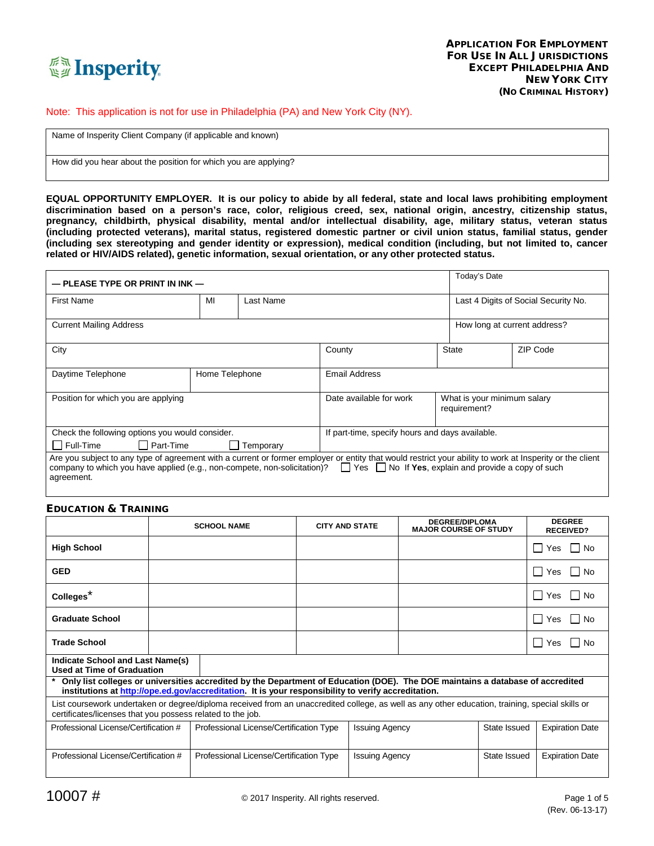

#### Note: This application is not for use in Philadelphia (PA) and New York City (NY).

Name of Insperity Client Company (if applicable and known)

How did you hear about the position for which you are applying?

**EQUAL OPPORTUNITY EMPLOYER. It is our policy to abide by all federal, state and local laws prohibiting employment discrimination based on a person's race, color, religious creed, sex, national origin, ancestry, citizenship status, pregnancy, childbirth, physical disability, mental and/or intellectual disability, age, military status, veteran status (including protected veterans), marital status, registered domestic partner or civil union status, familial status, gender (including sex stereotyping and gender identity or expression), medical condition (including, but not limited to, cancer related or HIV/AIDS related), genetic information, sexual orientation, or any other protected status.**

| $-$ PLEASE TYPE OR PRINT IN INK $-$                                                                                                                                                                                                                                                                                |    |                  | Today's Date                                    |                                             |                                      |  |
|--------------------------------------------------------------------------------------------------------------------------------------------------------------------------------------------------------------------------------------------------------------------------------------------------------------------|----|------------------|-------------------------------------------------|---------------------------------------------|--------------------------------------|--|
| <b>First Name</b>                                                                                                                                                                                                                                                                                                  | MI | Last Name        |                                                 |                                             | Last 4 Digits of Social Security No. |  |
| <b>Current Mailing Address</b>                                                                                                                                                                                                                                                                                     |    |                  |                                                 | How long at current address?                |                                      |  |
| City                                                                                                                                                                                                                                                                                                               |    |                  | County                                          | <b>State</b>                                | ZIP Code                             |  |
| Daytime Telephone<br>Home Telephone                                                                                                                                                                                                                                                                                |    |                  | Email Address                                   |                                             |                                      |  |
| Position for which you are applying                                                                                                                                                                                                                                                                                |    |                  | Date available for work                         | What is your minimum salary<br>requirement? |                                      |  |
| Check the following options you would consider.                                                                                                                                                                                                                                                                    |    |                  | If part-time, specify hours and days available. |                                             |                                      |  |
| Full-Time<br>$\Box$ Part-Time                                                                                                                                                                                                                                                                                      |    | $\Box$ Temporary |                                                 |                                             |                                      |  |
| Are you subject to any type of agreement with a current or former employer or entity that would restrict your ability to work at Insperity or the client<br>company to which you have applied (e.g., non-compete, non-solicitation)? $\Box$ Yes $\Box$ No If Yes, explain and provide a copy of such<br>agreement. |    |                  |                                                 |                                             |                                      |  |

#### EDUCATION & TRAINING

|                                                                                                                                                                                                               |  | <b>SCHOOL NAME</b>                                                                                                                                                                                                                      | <b>CITY AND STATE</b> |                       | <b>DEGREE/DIPLOMA</b><br><b>MAJOR COURSE OF STUDY</b> |              | <b>DEGREE</b><br><b>RECEIVED?</b> |
|---------------------------------------------------------------------------------------------------------------------------------------------------------------------------------------------------------------|--|-----------------------------------------------------------------------------------------------------------------------------------------------------------------------------------------------------------------------------------------|-----------------------|-----------------------|-------------------------------------------------------|--------------|-----------------------------------|
| <b>High School</b>                                                                                                                                                                                            |  |                                                                                                                                                                                                                                         |                       |                       |                                                       |              | Yes<br>$\blacksquare$<br>No.      |
| GED                                                                                                                                                                                                           |  |                                                                                                                                                                                                                                         |                       |                       |                                                       |              | Yes<br>$\blacksquare$<br>Nο       |
| Colleges <sup>*</sup>                                                                                                                                                                                         |  |                                                                                                                                                                                                                                         |                       |                       |                                                       |              | Yes<br>$\blacksquare$<br>No       |
| Graduate School                                                                                                                                                                                               |  |                                                                                                                                                                                                                                         |                       |                       |                                                       |              | Yes<br>$\mathbf{I}$<br>No         |
| <b>Trade School</b>                                                                                                                                                                                           |  |                                                                                                                                                                                                                                         |                       |                       |                                                       |              | Yes<br>$\mathbf{I}$<br>Nο         |
| Indicate School and Last Name(s)<br>Used at Time of Graduation                                                                                                                                                |  |                                                                                                                                                                                                                                         |                       |                       |                                                       |              |                                   |
|                                                                                                                                                                                                               |  | * Only list colleges or universities accredited by the Department of Education (DOE). The DOE maintains a database of accredited<br>institutions at http://ope.ed.gov/accreditation. It is your responsibility to verify accreditation. |                       |                       |                                                       |              |                                   |
| List coursework undertaken or degree/diploma received from an unaccredited college, as well as any other education, training, special skills or<br>certificates/licenses that you possess related to the job. |  |                                                                                                                                                                                                                                         |                       |                       |                                                       |              |                                   |
| Professional License/Certification #                                                                                                                                                                          |  | Professional License/Certification Type                                                                                                                                                                                                 |                       | <b>Issuing Agency</b> |                                                       | State Issued | <b>Expiration Date</b>            |
| Professional License/Certification #                                                                                                                                                                          |  | Professional License/Certification Type                                                                                                                                                                                                 |                       | <b>Issuing Agency</b> |                                                       | State Issued | <b>Expiration Date</b>            |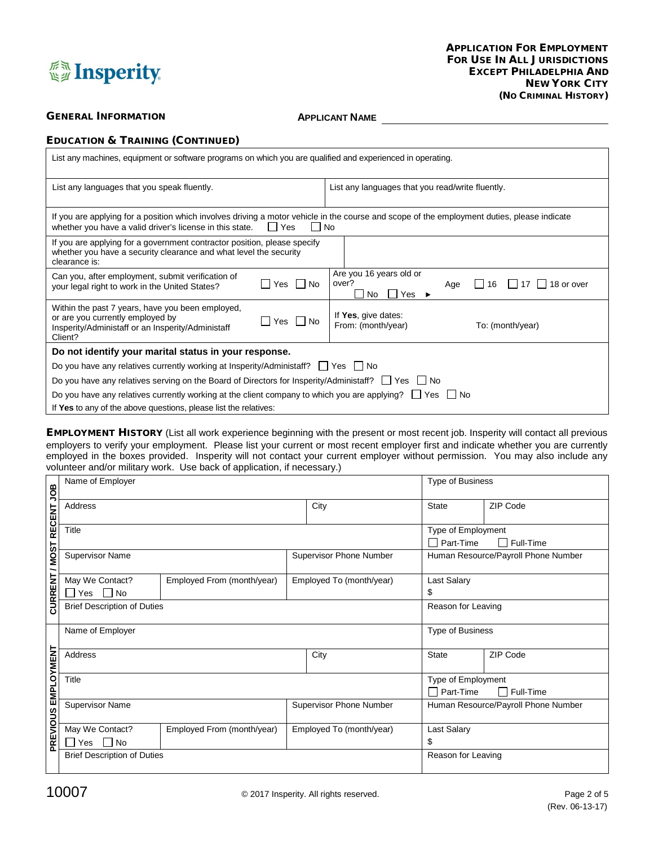

# **GENERAL INFORMATION APPLICANT NAME**

|  |  | <b>EDUCATION &amp; TRAINING (CONTINUED)</b> |
|--|--|---------------------------------------------|
|--|--|---------------------------------------------|

| List any machines, equipment or software programs on which you are qualified and experienced in operating.                                                                                                                |                                                                                                 |  |  |  |  |  |
|---------------------------------------------------------------------------------------------------------------------------------------------------------------------------------------------------------------------------|-------------------------------------------------------------------------------------------------|--|--|--|--|--|
| List any languages that you speak fluently.                                                                                                                                                                               | List any languages that you read/write fluently.                                                |  |  |  |  |  |
| If you are applying for a position which involves driving a motor vehicle in the course and scope of the employment duties, please indicate<br>whether you have a valid driver's license in this state.<br>  No<br>II Yes |                                                                                                 |  |  |  |  |  |
| If you are applying for a government contractor position, please specify<br>whether you have a security clearance and what level the security<br>clearance is:                                                            |                                                                                                 |  |  |  |  |  |
| Can you, after employment, submit verification of<br>l INo<br><b>Yes</b><br>your legal right to work in the United States?                                                                                                | Are you 16 years old or<br>over?<br>18 or over<br>16<br>Age<br>Yes<br>No.<br>ΙI<br>$\mathbf{I}$ |  |  |  |  |  |
| Within the past 7 years, have you been employed,<br>or are you currently employed by<br>   Yes    No<br>Insperity/Administaff or an Insperity/Administaff<br>Client?                                                      | If Yes, give dates:<br>From: (month/year)<br>To: (month/year)                                   |  |  |  |  |  |
| Do not identify your marital status in your response.                                                                                                                                                                     |                                                                                                 |  |  |  |  |  |
| Do you have any relatives currently working at Insperity/Administaff? $\Box$ Yes $\Box$ No                                                                                                                                |                                                                                                 |  |  |  |  |  |
| Do you have any relatives serving on the Board of Directors for Insperity/Administaff? $\Box$ Yes $\Box$ No                                                                                                               |                                                                                                 |  |  |  |  |  |
| Do you have any relatives currently working at the client company to which you are applying? $\Box$ Yes<br>l INo                                                                                                          |                                                                                                 |  |  |  |  |  |
| If Yes to any of the above questions, please list the relatives:                                                                                                                                                          |                                                                                                 |  |  |  |  |  |

EMPLOYMENT HISTORY (List all work experience beginning with the present or most recent job. Insperity will contact all previous employers to verify your employment. Please list your current or most recent employer first and indicate whether you are currently employed in the boxes provided. Insperity will not contact your current employer without permission. You may also include any volunteer and/or military work. Use back of application, if necessary.)

|                           | Name of Employer                                           |                            | <b>Type of Business</b>        |                          |                                              |           |
|---------------------------|------------------------------------------------------------|----------------------------|--------------------------------|--------------------------|----------------------------------------------|-----------|
|                           | Address                                                    |                            |                                | City                     |                                              | ZIP Code  |
| CURRENT / MOST RECENT JOB | Title                                                      |                            |                                |                          | Type of Employment<br>Part-Time<br>Full-Time |           |
|                           | <b>Supervisor Name</b>                                     |                            | <b>Supervisor Phone Number</b> |                          | Human Resource/Payroll Phone Number          |           |
|                           | May We Contact?<br>Employed From (month/year)<br>No<br>Yes |                            |                                | Employed To (month/year) | Last Salary<br>\$                            |           |
|                           | <b>Brief Description of Duties</b>                         |                            |                                |                          | Reason for Leaving                           |           |
|                           | Name of Employer                                           |                            |                                |                          | <b>Type of Business</b>                      |           |
|                           | Address                                                    |                            | City                           |                          | <b>State</b>                                 | ZIP Code  |
|                           | Title                                                      |                            |                                |                          | Type of Employment<br>Part-Time              | Full-Time |
|                           | <b>Supervisor Name</b>                                     |                            | <b>Supervisor Phone Number</b> |                          | Human Resource/Payroll Phone Number          |           |
| PREVIOUS EMPLOYMENT       | May We Contact?<br>$\overline{\phantom{a}}$ No<br>Yes      | Employed From (month/year) | Employed To (month/year)       |                          | Last Salary<br>\$                            |           |
|                           | <b>Brief Description of Duties</b>                         |                            |                                |                          | Reason for Leaving                           |           |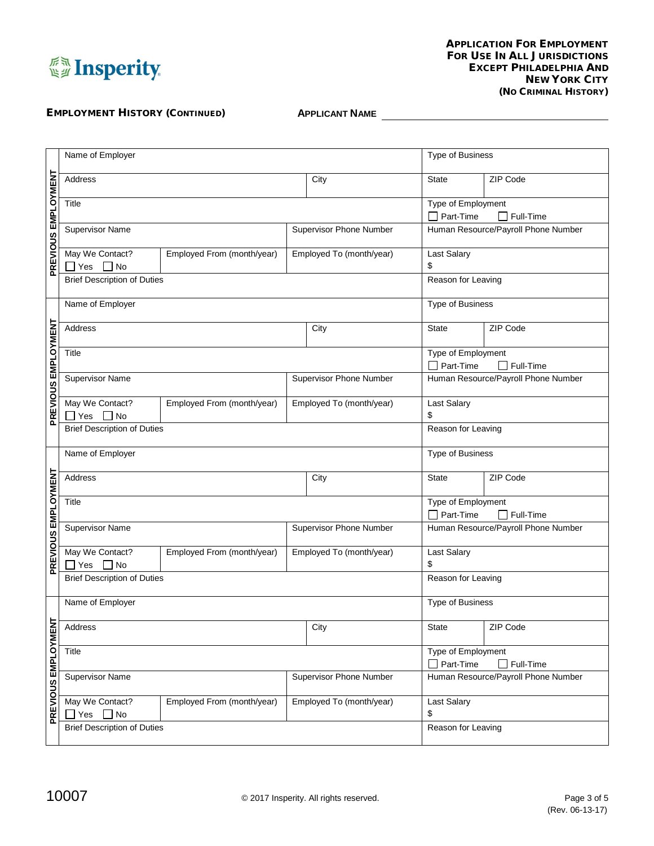

# EMPLOYMENT HISTORY (CONTINUED) **APPLICANT NAME**

|                                | Name of Employer                                                            |                                |                    |                          |                                                     | Type of Business                    |  |
|--------------------------------|-----------------------------------------------------------------------------|--------------------------------|--------------------|--------------------------|-----------------------------------------------------|-------------------------------------|--|
| PREVIOUS EMPLOYMENT<br>Address |                                                                             |                                |                    | City                     | <b>State</b>                                        | ZIP Code                            |  |
|                                | Title                                                                       |                                | Type of Employment |                          |                                                     |                                     |  |
|                                |                                                                             |                                |                    |                          | Part-Time<br>$\mathsf{L}$<br>$\Box$ Full-Time       |                                     |  |
|                                | <b>Supervisor Name</b>                                                      |                                |                    | Supervisor Phone Number  | Human Resource/Payroll Phone Number                 |                                     |  |
|                                |                                                                             |                                |                    |                          |                                                     |                                     |  |
|                                | May We Contact?<br>Employed From (month/year)<br>$\exists$ Yes<br>$\Box$ No |                                |                    | Employed To (month/year) | Last Salary<br>\$                                   |                                     |  |
|                                | <b>Brief Description of Duties</b>                                          |                                |                    | Reason for Leaving       |                                                     |                                     |  |
|                                | Name of Employer                                                            |                                |                    |                          | Type of Business                                    |                                     |  |
| PREVIOUS EMPLOYMENT            | Address                                                                     |                                |                    | City                     | <b>State</b>                                        | ZIP Code                            |  |
|                                | Title                                                                       |                                |                    |                          | Type of Employment                                  |                                     |  |
|                                |                                                                             |                                |                    |                          | Part-Time<br>$\perp$                                | $\Box$ Full-Time                    |  |
|                                | <b>Supervisor Name</b><br>Supervisor Phone Number                           |                                |                    |                          |                                                     | Human Resource/Payroll Phone Number |  |
|                                | May We Contact?                                                             | Employed From (month/year)     |                    | Employed To (month/year) | Last Salary                                         |                                     |  |
|                                | $\overline{\phantom{a}}$ No<br>$\sqsupset$ Yes                              |                                |                    |                          |                                                     | \$                                  |  |
|                                | <b>Brief Description of Duties</b>                                          |                                |                    | Reason for Leaving       |                                                     |                                     |  |
|                                |                                                                             |                                |                    |                          |                                                     |                                     |  |
|                                | Name of Employer                                                            |                                |                    |                          | Type of Business                                    |                                     |  |
| PREVIOUS EMPLOYMENT            | Address                                                                     |                                |                    | City                     | <b>State</b>                                        | ZIP Code                            |  |
|                                | Title                                                                       |                                |                    |                          | Type of Employment                                  |                                     |  |
|                                |                                                                             |                                |                    |                          | Part-Time                                           | $\Box$ Full-Time                    |  |
|                                | <b>Supervisor Name</b>                                                      |                                |                    | Supervisor Phone Number  |                                                     | Human Resource/Payroll Phone Number |  |
|                                | May We Contact?                                                             | Employed From (month/year)     |                    | Employed To (month/year) | Last Salary                                         |                                     |  |
|                                | $\Box$ No<br>$\sqcup$ Yes                                                   |                                |                    |                          | \$                                                  |                                     |  |
|                                | <b>Brief Description of Duties</b>                                          |                                |                    |                          | Reason for Leaving                                  |                                     |  |
|                                | Name of Employer                                                            |                                |                    |                          | Type of Business                                    |                                     |  |
|                                | Address                                                                     |                                |                    | City                     | State                                               | ZIP Code                            |  |
| <b>LN3MAOT4MB SNOMSH</b>       | Title                                                                       |                                |                    |                          | Type of Employment<br>Part-Time<br>$\Box$ Full-Time |                                     |  |
|                                | <b>Supervisor Name</b>                                                      | <b>Supervisor Phone Number</b> |                    |                          | Human Resource/Payroll Phone Number                 |                                     |  |
|                                | May We Contact?<br>$\Box$ No<br>$\sqcup$ Yes                                | Employed From (month/year)     |                    | Employed To (month/year) | Last Salary<br>\$                                   |                                     |  |
|                                | <b>Brief Description of Duties</b>                                          |                                |                    |                          | Reason for Leaving                                  |                                     |  |
|                                |                                                                             |                                |                    |                          |                                                     |                                     |  |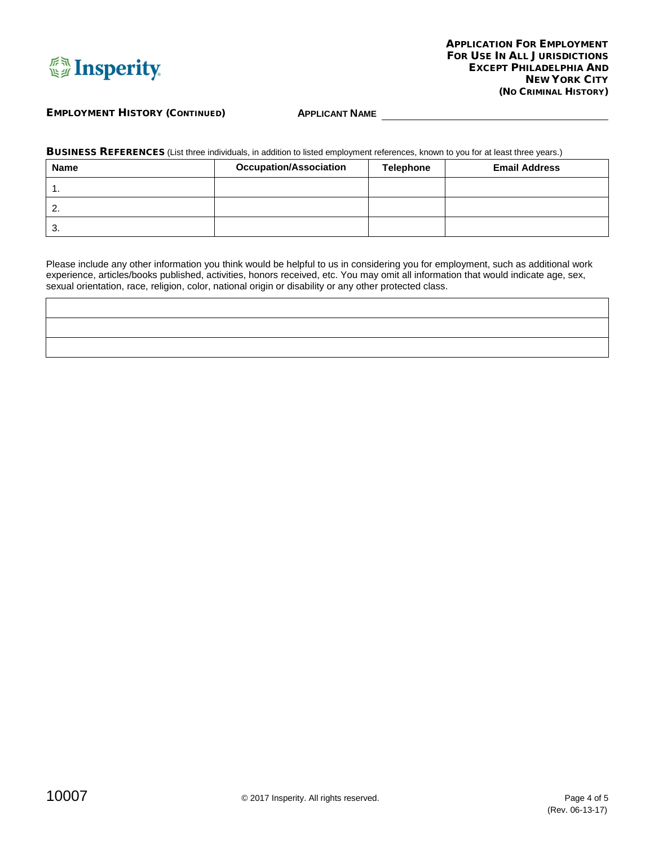

### EMPLOYMENT HISTORY (CONTINUED) **APPLICANT NAME**

BUSINESS REFERENCES (List three individuals, in addition to listed employment references, known to you for at least three years.)

| <b>Name</b> | <b>Occupation/Association</b> | <b>Telephone</b> | <b>Email Address</b> |
|-------------|-------------------------------|------------------|----------------------|
| . .         |                               |                  |                      |
| <u>.</u>    |                               |                  |                      |
| J.          |                               |                  |                      |

Please include any other information you think would be helpful to us in considering you for employment, such as additional work experience, articles/books published, activities, honors received, etc. You may omit all information that would indicate age, sex, sexual orientation, race, religion, color, national origin or disability or any other protected class.